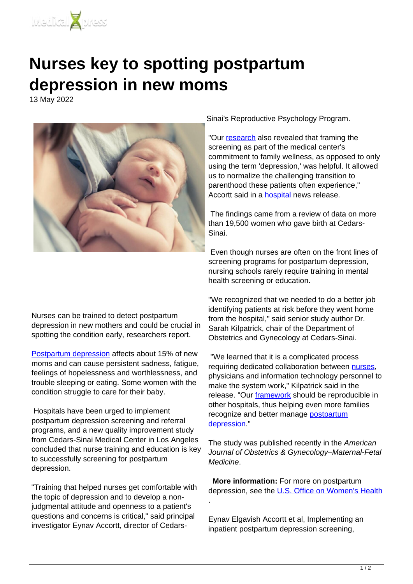

## **Nurses key to spotting postpartum depression in new moms**

13 May 2022



Sinai's Reproductive Psychology Program.

"Our [research](https://medicalxpress.com/tags/research/) also revealed that framing the screening as part of the medical center's commitment to family wellness, as opposed to only using the term 'depression,' was helpful. It allowed us to normalize the challenging transition to parenthood these patients often experience," Accortt said in a **hospital** news release.

 The findings came from a review of data on more than 19,500 women who gave birth at Cedars-Sinai.

 Even though nurses are often on the front lines of screening programs for postpartum depression, nursing schools rarely require training in mental health screening or education.

Nurses can be trained to detect postpartum depression in new mothers and could be crucial in spotting the condition early, researchers report.

[Postpartum depression](https://www.womenshealth.gov/mental-health/mental-health-conditions/postpartum-depression) affects about 15% of new moms and can cause persistent sadness, fatigue, feelings of hopelessness and worthlessness, and trouble sleeping or eating. Some women with the condition struggle to care for their baby.

 Hospitals have been urged to implement postpartum depression screening and referral programs, and a new quality improvement study from Cedars-Sinai Medical Center in Los Angeles concluded that nurse training and education is key to successfully screening for postpartum depression.

"Training that helped nurses get comfortable with the topic of depression and to develop a nonjudgmental attitude and openness to a patient's questions and concerns is critical," said principal investigator Eynav Accortt, director of Cedars-

"We recognized that we needed to do a better job identifying patients at risk before they went home from the hospital," said senior study author Dr. Sarah Kilpatrick, chair of the Department of Obstetrics and Gynecology at Cedars-Sinai.

 "We learned that it is a complicated process requiring dedicated collaboration between [nurses](https://medicalxpress.com/tags/nurses/), physicians and information technology personnel to make the system work," Kilpatrick said in the release. "Our [framework](https://medicalxpress.com/tags/framework/) should be reproducible in other hospitals, thus helping even more families recognize and better manage [postpartum](https://medicalxpress.com/tags/postpartum+depression/) [depression](https://medicalxpress.com/tags/postpartum+depression/)."

The study was published recently in the American Journal of Obstetrics & Gynecology–Maternal-Fetal Medicine.

 **More information:** For more on postpartum depression, see the [U.S. Office on Women's Health](https://www.womenshealth.gov/mental-health/mental-health-conditions/postpartum-depression)

Eynav Elgavish Accortt et al, Implementing an inpatient postpartum depression screening,

.